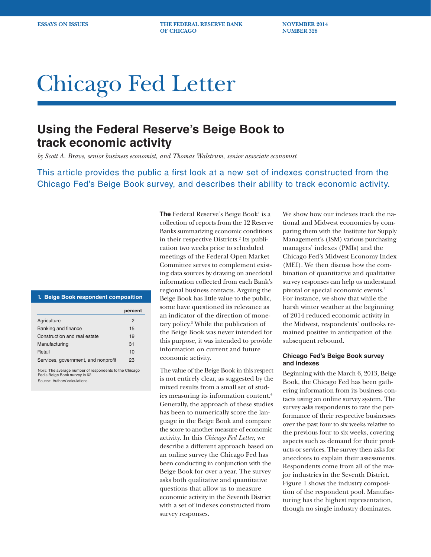**ESSAYS ON ISSUES THE FEDERAL RESERVE BANK MOVEMBER 2014 OF CHICAGO NUMBER 328**

# Chicago Fed Letter

# **Using the Federal Reserve's Beige Book to track economic activity**

*by Scott A. Brave, senior business economist, and Thomas Walstrum, senior associate economist*

This article provides the public a first look at a new set of indexes constructed from the Chicago Fed's Beige Book survey, and describes their ability to track economic activity.

# **1. Beige Book respondent composition**

|                                     | percent |
|-------------------------------------|---------|
| Agriculture                         | 2       |
| Banking and finance                 | 15      |
| Construction and real estate        | 19      |
| Manufacturing                       | 31      |
| Retail                              | 10      |
| Services, government, and nonprofit | 23      |
|                                     |         |

Note: The average number of respondents to the Chicago Fed's Beige Book survey is 62. Source: Authors' calculations.

**The** Federal Reserve's Beige Book<sup>1</sup> is a collection of reports from the 12 Reserve Banks summarizing economic conditions in their respective Districts.<sup>2</sup> Its publication two weeks prior to scheduled meetings of the Federal Open Market Committee serves to complement existing data sources by drawing on anecdotal information collected from each Bank's regional business contacts. Arguing the Beige Book has little value to the public, some have questioned its relevance as an indicator of the direction of monetary policy.3 While the publication of the Beige Book was never intended for this purpose, it was intended to provide information on current and future economic activity.

The value of the Beige Book in this respect is not entirely clear, as suggested by the mixed results from a small set of studies measuring its information content.4 Generally, the approach of these studies has been to numerically score the language in the Beige Book and compare the score to another measure of economic activity. In this *Chicago Fed Letter*, we describe a different approach based on an online survey the Chicago Fed has been conducting in conjunction with the Beige Book for over a year. The survey asks both qualitative and quantitative questions that allow us to measure economic activity in the Seventh District with a set of indexes constructed from survey responses.

We show how our indexes track the national and Midwest economies by comparing them with the Institute for Supply Management's (ISM) various purchasing managers' indexes (PMIs) and the Chicago Fed's Midwest Economy Index (MEI). We then discuss how the combination of quantitative and qualitative survey responses can help us understand pivotal or special economic events.<sup>5</sup> For instance, we show that while the harsh winter weather at the beginning of 2014 reduced economic activity in the Midwest, respondents' outlooks remained positive in anticipation of the subsequent rebound.

### **Chicago Fed's Beige Book survey and indexes**

Beginning with the March 6, 2013, Beige Book, the Chicago Fed has been gathering information from its business contacts using an online survey system. The survey asks respondents to rate the performance of their respective businesses over the past four to six weeks relative to the previous four to six weeks, covering aspects such as demand for their products or services. The survey then asks for anecdotes to explain their assessments. Respondents come from all of the major industries in the Seventh District. Figure 1 shows the industry composition of the respondent pool. Manufacturing has the highest representation, though no single industry dominates.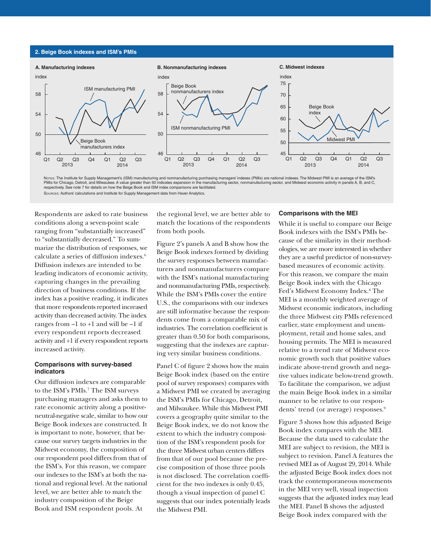#### **2. Beige Book indexes and ISM's PMIs**



Nores: The Institute for Supply Management's (ISM) manufacturing and nonmanufacturing purchasing managers' indexes (PMIs) are national indexes. The Midwest PMI is an average of the ISM's PMIs for Chicago, Detroit, and Milwaukee. A value greater than 50 indicates expansion in the manufacturing sector, nonmanufacturing sector, and Midwest economic activity in panels A, B, and C, respectively. See note 7 for details on how the Beige Book and ISM index comparisons are facilitated. Sources: Authors' calculations and Institute for Supply Management data from Haver Analytics.

Respondents are asked to rate business conditions along a seven-point scale ranging from "substantially increased" to "substantially decreased." To summarize the distribution of responses, we calculate a series of diffusion indexes.<sup>6</sup> Diffusion indexes are intended to be leading indicators of economic activity, capturing changes in the prevailing direction of business conditions. If the index has a positive reading, it indicates that more respondents reported increased activity than decreased activity. The index ranges from  $-1$  to  $+1$  and will be  $-1$  if every respondent reports decreased activity and +1 if every respondent reports increased activity.

# **Comparisons with survey-based indicators**

Our diffusion indexes are comparable to the ISM's PMIs.<sup>7</sup> The ISM surveys purchasing managers and asks them to rate economic activity along a positiveneutral-negative scale, similar to how our Beige Book indexes are constructed. It is important to note, however, that because our survey targets industries in the Midwest economy, the composition of our respondent pool differs from that of the ISM's. For this reason, we compare our indexes to the ISM's at both the national and regional level. At the national level, we are better able to match the industry composition of the Beige Book and ISM respondent pools. At

the regional level, we are better able to match the locations of the respondents from both pools.

Figure 2's panels A and B show how the Beige Book indexes formed by dividing the survey responses between manufacturers and nonmanufacturers compare with the ISM's national manufacturing and nonmanufacturing PMIs, respectively. While the ISM's PMIs cover the entire U.S., the comparisons with our indexes are still informative because the respondents come from a comparable mix of industries. The correlation coefficient is greater than 0.50 for both comparisons, suggesting that the indexes are capturing very similar business conditions.

Panel C of figure 2 shows how the main Beige Book index (based on the entire pool of survey responses) compares with a Midwest PMI we created by averaging the ISM's PMIs for Chicago, Detroit, and Milwaukee. While this Midwest PMI covers a geography quite similar to the Beige Book index, we do not know the extent to which the industry composition of the ISM's respondent pools for the three Midwest urban centers differs from that of our pool because the precise composition of those three pools is not disclosed. The correlation coefficient for the two indexes is only 0.45, though a visual inspection of panel C suggests that our index potentially leads the Midwest PMI.

#### **Comparisons with the MEI**

While it is useful to compare our Beige Book indexes with the ISM's PMIs because of the similarity in their methodologies, we are more interested in whether they are a useful predictor of non-surveybased measures of economic activity. For this reason, we compare the main Beige Book index with the Chicago Fed's Midwest Economy Index.8 The MEI is a monthly weighted average of Midwest economic indicators, including the three Midwest city PMIs referenced earlier, state employment and unemployment, retail and home sales, and housing permits. The MEI is measured relative to a trend rate of Midwest economic growth such that positive values indicate above-trend growth and negative values indicate below-trend growth. To facilitate the comparison, we adjust the main Beige Book index in a similar manner to be relative to our respondents' trend (or average) responses.<sup>9</sup>

Figure 3 shows how this adjusted Beige Book index compares with the MEI. Because the data used to calculate the MEI are subject to revision, the MEI is subject to revision. Panel A features the revised MEI as of August 29, 2014. While the adjusted Beige Book index does not track the contemporaneous movements in the MEI very well, visual inspection suggests that the adjusted index may lead the MEI. Panel B shows the adjusted Beige Book index compared with the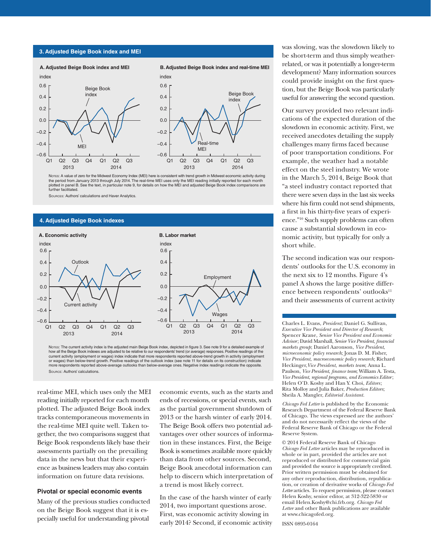#### **3. Adjusted Beige Book index and MEI**



Notes: A value of zero for the Midwest Economy Index (MEI) here is consistent with trend growth in Midwest economic activity during the period from January 2013 through July 2014. The real-time MEI uses only the MEI reading initially reported for each month .<br>Ied in panel B. See the text, in particular note 9, for details on how the MEI and adjusted Beige Book index comparisons are further facilitated.

Sources: Authors' calculations and Haver Analytics.

#### **4. Adjusted Beige Book indexes**



Notes: The current activity index is the adjusted main Beige Book index, depicted in figure 3. See note 9 for a detailed example of how all the Beige Book indexes are adjusted to be relative to our respondents' trend (or average) responses. Positive readings of the current activity (employment or wages) index indicate that more respondents reported above-trend growth in activity (employment or wages) than below-trend growth. Positive readings of the outlook index (see note 11 for details on its construction) indicate<br>more respondents reported above-average outlooks than below-average ones. Negative index read Source: Authors' calculations.

real-time MEI, which uses only the MEI reading initially reported for each month plotted. The adjusted Beige Book index tracks contemporaneous movements in the real-time MEI quite well. Taken together, the two comparisons suggest that Beige Book respondents likely base their assessments partially on the prevailing data in the news but that their experience as business leaders may also contain information on future data revisions.

#### **Pivotal or special economic events**

Many of the previous studies conducted on the Beige Book suggest that it is especially useful for understanding pivotal

economic events, such as the starts and ends of recessions, or special events, such as the partial government shutdown of 2013 or the harsh winter of early 2014. The Beige Book offers two potential advantages over other sources of information in these instances. First, the Beige Book is sometimes available more quickly than data from other sources. Second, Beige Book anecdotal information can help to discern which interpretation of a trend is most likely correct.

In the case of the harsh winter of early 2014, two important questions arose. First, was economic activity slowing in early 2014? Second, if economic activity was slowing, was the slowdown likely to be short-term and thus simply weatherrelated, or was it potentially a longer-term development? Many information sources could provide insight on the first question, but the Beige Book was particularly useful for answering the second question.

Our survey provided two relevant indications of the expected duration of the slowdown in economic activity. First, we received anecdotes detailing the supply challenges many firms faced because of poor transportation conditions. For example, the weather had a notable effect on the steel industry. We wrote in the March 5, 2014, Beige Book that "a steel industry contact reported that there were seven days in the last six weeks where his firm could not send shipments, a first in his thirty-five years of experience."10 Such supply problems can often cause a substantial slowdown in economic activity, but typically for only a short while.

The second indication was our respondents' outlooks for the U.S. economy in the next six to 12 months. Figure 4's panel A shows the large positive difference between respondents' outlooks<sup>11</sup> and their assessments of current activity

Charles L. Evans, *President*; Daniel G. Sullivan, *Executive Vice President and Director of Research*; Spencer Krane, *Senior Vice President and Economic Advisor*; David Marshall, *Senior Vice President*, *financial markets group*; Daniel Aaronson, *Vice President*, *microeconomic policy research*; Jonas D. M. Fisher, *Vice President*, *macroeconomic policy research*; Richard Heckinger,*Vice President*, *markets team*; Anna L. Paulson, *Vice President*, *finance team*; William A. Testa, *Vice President*, *regional programs*, *and Economics Editor*; Helen O'D. Koshy and Han Y. Choi, *Editors* ; Rita Molloy and Julia Baker, *Production Editors*; Sheila A. Mangler, *Editorial Assistant.* 

*Chicago Fed Letter* is published by the Economic Research Department of the Federal Reserve Bank of Chicago. The views expressed are the authors' and do not necessarily reflect the views of the Federal Reserve Bank of Chicago or the Federal Reserve System.

© 2014 Federal Reserve Bank of Chicago *Chicago Fed Letter* articles may be reproduced in whole or in part, provided the articles are not reproduced or distributed for commercial gain and provided the source is appropriately credited. Prior written permission must be obtained for any other reproduction, distribution, republication, or creation of derivative works of *Chicago Fed Letter* articles. To request permission, please contact Helen Koshy, senior editor, at 312-322-5830 or email Helen.Koshy@chi.frb.org. *Chicago Fed Letter* and other Bank publications are available at www.chicagofed.org.

ISSN 0895-0164